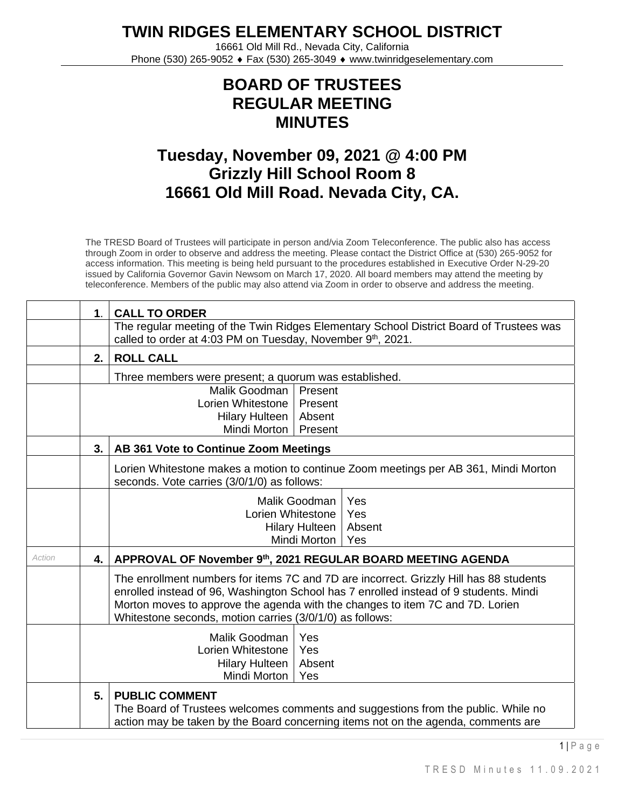**TWIN RIDGES ELEMENTARY SCHOOL DISTRICT**

16661 Old Mill Rd., Nevada City, California Phone (530) 265-9052 ♦ Fax (530) 265-3049 ♦ www.twinridgeselementary.com

## **BOARD OF TRUSTEES REGULAR MEETING MINUTES**

## **Tuesday, November 09, 2021 @ 4:00 PM Grizzly Hill School Room 8 16661 Old Mill Road. Nevada City, CA.**

The TRESD Board of Trustees will participate in person and/via Zoom Teleconference. The public also has access through Zoom in order to observe and address the meeting. Please contact the District Office at (530) 265-9052 for access information. This meeting is being held pursuant to the procedures established in Executive Order N-29-20 issued by California Governor Gavin Newsom on March 17, 2020. All board members may attend the meeting by teleconference. Members of the public may also attend via Zoom in order to observe and address the meeting.

|        | 1 <sub>1</sub> | <b>CALL TO ORDER</b>                                                                                                                                                                                                                                                                                                         |  |  |
|--------|----------------|------------------------------------------------------------------------------------------------------------------------------------------------------------------------------------------------------------------------------------------------------------------------------------------------------------------------------|--|--|
|        |                | The regular meeting of the Twin Ridges Elementary School District Board of Trustees was<br>called to order at 4:03 PM on Tuesday, November 9th, 2021.                                                                                                                                                                        |  |  |
|        | 2.             | <b>ROLL CALL</b>                                                                                                                                                                                                                                                                                                             |  |  |
|        |                | Three members were present; a quorum was established.                                                                                                                                                                                                                                                                        |  |  |
|        |                | Malik Goodman<br>Present<br>Lorien Whitestone<br>Present                                                                                                                                                                                                                                                                     |  |  |
|        |                | <b>Hilary Hulteen</b><br>Absent<br>Mindi Morton<br>Present                                                                                                                                                                                                                                                                   |  |  |
|        | 3.             | AB 361 Vote to Continue Zoom Meetings                                                                                                                                                                                                                                                                                        |  |  |
|        |                | Lorien Whitestone makes a motion to continue Zoom meetings per AB 361, Mindi Morton<br>seconds. Vote carries (3/0/1/0) as follows:                                                                                                                                                                                           |  |  |
|        |                | Malik Goodman<br>Yes<br>Lorien Whitestone<br>Yes<br>Hilary Hulteen  <br>Absent<br>Mindi Morton<br>Yes                                                                                                                                                                                                                        |  |  |
| Action | 4.             | APPROVAL OF November 9th, 2021 REGULAR BOARD MEETING AGENDA                                                                                                                                                                                                                                                                  |  |  |
|        |                | The enrollment numbers for items 7C and 7D are incorrect. Grizzly Hill has 88 students<br>enrolled instead of 96, Washington School has 7 enrolled instead of 9 students. Mindi<br>Morton moves to approve the agenda with the changes to item 7C and 7D. Lorien<br>Whitestone seconds, motion carries (3/0/1/0) as follows: |  |  |
|        |                | Malik Goodman<br>Yes<br>Lorien Whitestone<br>Yes<br>Absent<br><b>Hilary Hulteen</b><br>Mindi Morton<br>Yes                                                                                                                                                                                                                   |  |  |
|        | 5.             | <b>PUBLIC COMMENT</b><br>The Board of Trustees welcomes comments and suggestions from the public. While no<br>action may be taken by the Board concerning items not on the agenda, comments are                                                                                                                              |  |  |

 $1 \mid P$  a g e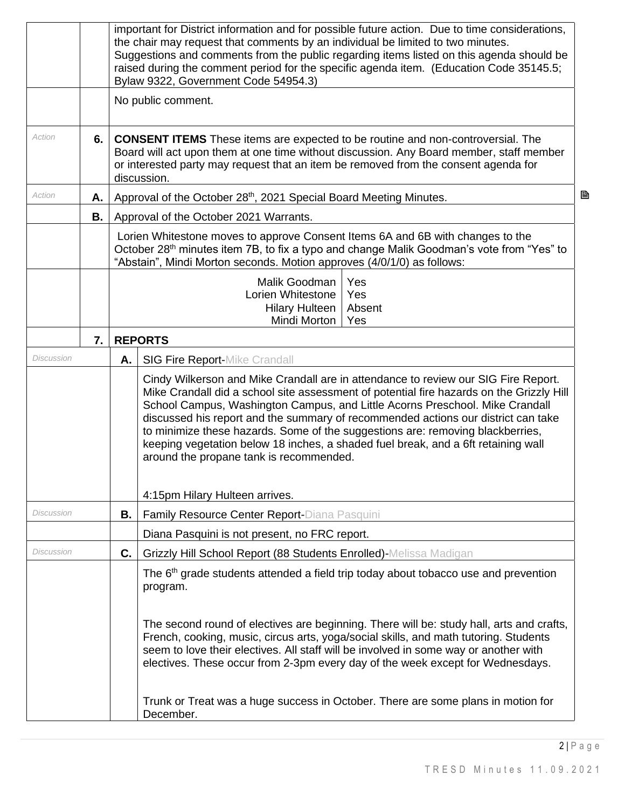|            |           | important for District information and for possible future action. Due to time considerations,<br>the chair may request that comments by an individual be limited to two minutes.<br>Suggestions and comments from the public regarding items listed on this agenda should be<br>raised during the comment period for the specific agenda item. (Education Code 35145.5;<br>Bylaw 9322, Government Code 54954.3) |                                                                                                                                                                                                                                                                                                                                                                                                                                                                                                                                                                       |  |  |  |  |  |
|------------|-----------|------------------------------------------------------------------------------------------------------------------------------------------------------------------------------------------------------------------------------------------------------------------------------------------------------------------------------------------------------------------------------------------------------------------|-----------------------------------------------------------------------------------------------------------------------------------------------------------------------------------------------------------------------------------------------------------------------------------------------------------------------------------------------------------------------------------------------------------------------------------------------------------------------------------------------------------------------------------------------------------------------|--|--|--|--|--|
|            |           |                                                                                                                                                                                                                                                                                                                                                                                                                  | No public comment.                                                                                                                                                                                                                                                                                                                                                                                                                                                                                                                                                    |  |  |  |  |  |
| Action     | 6.        |                                                                                                                                                                                                                                                                                                                                                                                                                  | <b>CONSENT ITEMS</b> These items are expected to be routine and non-controversial. The<br>Board will act upon them at one time without discussion. Any Board member, staff member<br>or interested party may request that an item be removed from the consent agenda for<br>discussion.                                                                                                                                                                                                                                                                               |  |  |  |  |  |
| Action     | А.        |                                                                                                                                                                                                                                                                                                                                                                                                                  | B<br>Approval of the October 28th, 2021 Special Board Meeting Minutes.                                                                                                                                                                                                                                                                                                                                                                                                                                                                                                |  |  |  |  |  |
|            | <b>B.</b> |                                                                                                                                                                                                                                                                                                                                                                                                                  | Approval of the October 2021 Warrants.                                                                                                                                                                                                                                                                                                                                                                                                                                                                                                                                |  |  |  |  |  |
|            |           | Lorien Whitestone moves to approve Consent Items 6A and 6B with changes to the<br>October 28 <sup>th</sup> minutes item 7B, to fix a typo and change Malik Goodman's vote from "Yes" to<br>"Abstain", Mindi Morton seconds. Motion approves (4/0/1/0) as follows:                                                                                                                                                |                                                                                                                                                                                                                                                                                                                                                                                                                                                                                                                                                                       |  |  |  |  |  |
|            |           |                                                                                                                                                                                                                                                                                                                                                                                                                  | Malik Goodman<br>Yes<br>Lorien Whitestone<br>Yes<br><b>Hilary Hulteen</b><br>Absent<br>Mindi Morton<br>Yes                                                                                                                                                                                                                                                                                                                                                                                                                                                            |  |  |  |  |  |
|            | 7.        |                                                                                                                                                                                                                                                                                                                                                                                                                  | <b>REPORTS</b>                                                                                                                                                                                                                                                                                                                                                                                                                                                                                                                                                        |  |  |  |  |  |
| Discussion |           | Α.                                                                                                                                                                                                                                                                                                                                                                                                               | <b>SIG Fire Report-Mike Crandall</b>                                                                                                                                                                                                                                                                                                                                                                                                                                                                                                                                  |  |  |  |  |  |
|            |           |                                                                                                                                                                                                                                                                                                                                                                                                                  | Cindy Wilkerson and Mike Crandall are in attendance to review our SIG Fire Report.<br>Mike Crandall did a school site assessment of potential fire hazards on the Grizzly Hill<br>School Campus, Washington Campus, and Little Acorns Preschool. Mike Crandall<br>discussed his report and the summary of recommended actions our district can take<br>to minimize these hazards. Some of the suggestions are: removing blackberries,<br>keeping vegetation below 18 inches, a shaded fuel break, and a 6ft retaining wall<br>around the propane tank is recommended. |  |  |  |  |  |
|            |           |                                                                                                                                                                                                                                                                                                                                                                                                                  | 4:15pm Hilary Hulteen arrives.                                                                                                                                                                                                                                                                                                                                                                                                                                                                                                                                        |  |  |  |  |  |
| Discussion |           | В.                                                                                                                                                                                                                                                                                                                                                                                                               | Family Resource Center Report-Diana Pasquini                                                                                                                                                                                                                                                                                                                                                                                                                                                                                                                          |  |  |  |  |  |
|            |           |                                                                                                                                                                                                                                                                                                                                                                                                                  | Diana Pasquini is not present, no FRC report.                                                                                                                                                                                                                                                                                                                                                                                                                                                                                                                         |  |  |  |  |  |
| Discussion |           | C.                                                                                                                                                                                                                                                                                                                                                                                                               | Grizzly Hill School Report (88 Students Enrolled)-Melissa Madigan                                                                                                                                                                                                                                                                                                                                                                                                                                                                                                     |  |  |  |  |  |
|            |           |                                                                                                                                                                                                                                                                                                                                                                                                                  | The 6 <sup>th</sup> grade students attended a field trip today about tobacco use and prevention<br>program.                                                                                                                                                                                                                                                                                                                                                                                                                                                           |  |  |  |  |  |
|            |           |                                                                                                                                                                                                                                                                                                                                                                                                                  | The second round of electives are beginning. There will be: study hall, arts and crafts,<br>French, cooking, music, circus arts, yoga/social skills, and math tutoring. Students<br>seem to love their electives. All staff will be involved in some way or another with<br>electives. These occur from 2-3pm every day of the week except for Wednesdays.                                                                                                                                                                                                            |  |  |  |  |  |
|            |           |                                                                                                                                                                                                                                                                                                                                                                                                                  | Trunk or Treat was a huge success in October. There are some plans in motion for<br>December.                                                                                                                                                                                                                                                                                                                                                                                                                                                                         |  |  |  |  |  |

 $2 | P a g e$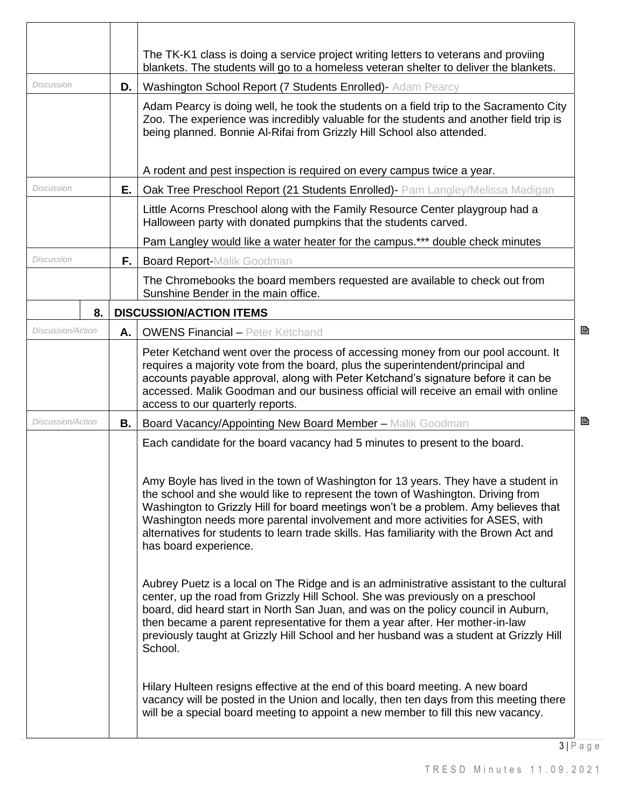|                          |      | The TK-K1 class is doing a service project writing letters to veterans and proviing<br>blankets. The students will go to a homeless veteran shelter to deliver the blankets.                                                                                                                                                                                                                                                                                                                                                                                                                                                                                                                                                                                                                                                                                                                                                                                                                   |   |
|--------------------------|------|------------------------------------------------------------------------------------------------------------------------------------------------------------------------------------------------------------------------------------------------------------------------------------------------------------------------------------------------------------------------------------------------------------------------------------------------------------------------------------------------------------------------------------------------------------------------------------------------------------------------------------------------------------------------------------------------------------------------------------------------------------------------------------------------------------------------------------------------------------------------------------------------------------------------------------------------------------------------------------------------|---|
| Discussion               | D. I | Washington School Report (7 Students Enrolled) - Adam Pearcy                                                                                                                                                                                                                                                                                                                                                                                                                                                                                                                                                                                                                                                                                                                                                                                                                                                                                                                                   |   |
|                          |      | Adam Pearcy is doing well, he took the students on a field trip to the Sacramento City<br>Zoo. The experience was incredibly valuable for the students and another field trip is<br>being planned. Bonnie Al-Rifai from Grizzly Hill School also attended.                                                                                                                                                                                                                                                                                                                                                                                                                                                                                                                                                                                                                                                                                                                                     |   |
|                          |      | A rodent and pest inspection is required on every campus twice a year.                                                                                                                                                                                                                                                                                                                                                                                                                                                                                                                                                                                                                                                                                                                                                                                                                                                                                                                         |   |
| <b>Discussion</b>        | Е.   | Oak Tree Preschool Report (21 Students Enrolled) - Pam Langley/Melissa Madigan                                                                                                                                                                                                                                                                                                                                                                                                                                                                                                                                                                                                                                                                                                                                                                                                                                                                                                                 |   |
|                          |      | Little Acorns Preschool along with the Family Resource Center playgroup had a<br>Halloween party with donated pumpkins that the students carved.                                                                                                                                                                                                                                                                                                                                                                                                                                                                                                                                                                                                                                                                                                                                                                                                                                               |   |
|                          |      | Pam Langley would like a water heater for the campus.*** double check minutes                                                                                                                                                                                                                                                                                                                                                                                                                                                                                                                                                                                                                                                                                                                                                                                                                                                                                                                  |   |
| <b>Discussion</b>        | F.,  | <b>Board Report-Malik Goodman</b>                                                                                                                                                                                                                                                                                                                                                                                                                                                                                                                                                                                                                                                                                                                                                                                                                                                                                                                                                              |   |
|                          |      | The Chromebooks the board members requested are available to check out from<br>Sunshine Bender in the main office.                                                                                                                                                                                                                                                                                                                                                                                                                                                                                                                                                                                                                                                                                                                                                                                                                                                                             |   |
| 8.                       |      | <b>DISCUSSION/ACTION ITEMS</b>                                                                                                                                                                                                                                                                                                                                                                                                                                                                                                                                                                                                                                                                                                                                                                                                                                                                                                                                                                 |   |
| Discussion/Action        | А.   | <b>OWENS Financial - Peter Ketchand</b>                                                                                                                                                                                                                                                                                                                                                                                                                                                                                                                                                                                                                                                                                                                                                                                                                                                                                                                                                        | ₿ |
|                          |      | Peter Ketchand went over the process of accessing money from our pool account. It<br>requires a majority vote from the board, plus the superintendent/principal and<br>accounts payable approval, along with Peter Ketchand's signature before it can be<br>accessed. Malik Goodman and our business official will receive an email with online<br>access to our quarterly reports.                                                                                                                                                                                                                                                                                                                                                                                                                                                                                                                                                                                                            |   |
| <b>Discussion/Action</b> | В.   | Board Vacancy/Appointing New Board Member - Malik Goodman                                                                                                                                                                                                                                                                                                                                                                                                                                                                                                                                                                                                                                                                                                                                                                                                                                                                                                                                      | ₿ |
|                          |      | Each candidate for the board vacancy had 5 minutes to present to the board.<br>Amy Boyle has lived in the town of Washington for 13 years. They have a student in<br>the school and she would like to represent the town of Washington. Driving from<br>Washington to Grizzly Hill for board meetings won't be a problem. Amy believes that<br>Washington needs more parental involvement and more activities for ASES, with<br>alternatives for students to learn trade skills. Has familiarity with the Brown Act and<br>has board experience.<br>Aubrey Puetz is a local on The Ridge and is an administrative assistant to the cultural<br>center, up the road from Grizzly Hill School. She was previously on a preschool<br>board, did heard start in North San Juan, and was on the policy council in Auburn,<br>then became a parent representative for them a year after. Her mother-in-law<br>previously taught at Grizzly Hill School and her husband was a student at Grizzly Hill |   |
|                          |      | School.<br>Hilary Hulteen resigns effective at the end of this board meeting. A new board<br>vacancy will be posted in the Union and locally, then ten days from this meeting there<br>will be a special board meeting to appoint a new member to fill this new vacancy.                                                                                                                                                                                                                                                                                                                                                                                                                                                                                                                                                                                                                                                                                                                       |   |

3 | P a g e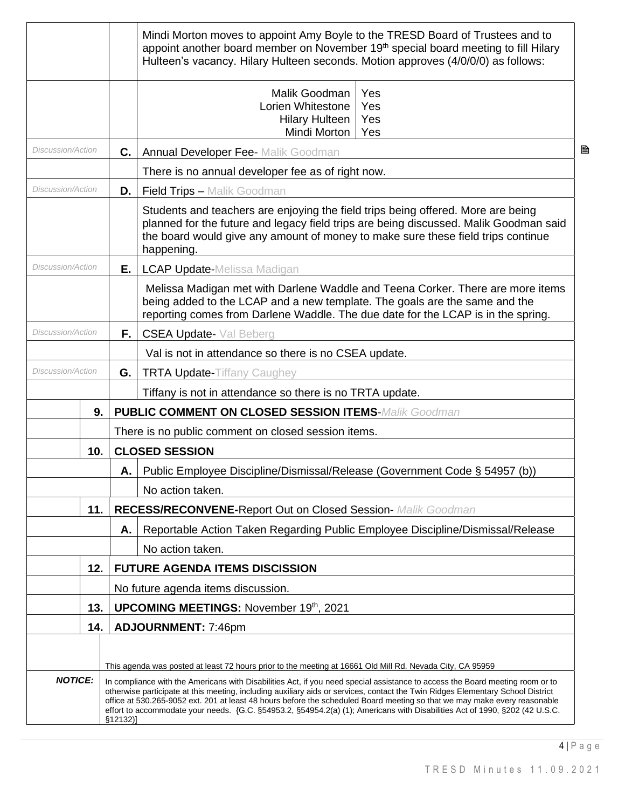|                          |     |          | Mindi Morton moves to appoint Amy Boyle to the TRESD Board of Trustees and to<br>appoint another board member on November 19th special board meeting to fill Hilary<br>Hulteen's vacancy. Hilary Hulteen seconds. Motion approves (4/0/0/0) as follows:                                                                                                                       |   |  |
|--------------------------|-----|----------|-------------------------------------------------------------------------------------------------------------------------------------------------------------------------------------------------------------------------------------------------------------------------------------------------------------------------------------------------------------------------------|---|--|
|                          |     |          | Malik Goodman<br>Yes<br>Lorien Whitestone<br>Yes<br><b>Hilary Hulteen</b><br>Yes<br>Mindi Morton<br>Yes                                                                                                                                                                                                                                                                       |   |  |
| Discussion/Action        |     | C.       | <b>Annual Developer Fee- Malik Goodman</b>                                                                                                                                                                                                                                                                                                                                    | B |  |
|                          |     |          | There is no annual developer fee as of right now.                                                                                                                                                                                                                                                                                                                             |   |  |
| Discussion/Action        |     | D.       | <b>Field Trips - Malik Goodman</b>                                                                                                                                                                                                                                                                                                                                            |   |  |
|                          |     |          | Students and teachers are enjoying the field trips being offered. More are being<br>planned for the future and legacy field trips are being discussed. Malik Goodman said<br>the board would give any amount of money to make sure these field trips continue<br>happening.                                                                                                   |   |  |
| Discussion/Action        |     | Е.       | <b>LCAP Update-Melissa Madigan</b>                                                                                                                                                                                                                                                                                                                                            |   |  |
|                          |     |          | Melissa Madigan met with Darlene Waddle and Teena Corker. There are more items<br>being added to the LCAP and a new template. The goals are the same and the<br>reporting comes from Darlene Waddle. The due date for the LCAP is in the spring.                                                                                                                              |   |  |
| Discussion/Action        |     | F.,      | <b>CSEA Update-</b> Val Beberg                                                                                                                                                                                                                                                                                                                                                |   |  |
|                          |     |          | Val is not in attendance so there is no CSEA update.                                                                                                                                                                                                                                                                                                                          |   |  |
| <b>Discussion/Action</b> |     | G.       | <b>TRTA Update-Tiffany Caughey</b>                                                                                                                                                                                                                                                                                                                                            |   |  |
|                          |     |          | Tiffany is not in attendance so there is no TRTA update.                                                                                                                                                                                                                                                                                                                      |   |  |
|                          | 9.  |          | <b>PUBLIC COMMENT ON CLOSED SESSION ITEMS-Malik Goodman</b>                                                                                                                                                                                                                                                                                                                   |   |  |
|                          |     |          | There is no public comment on closed session items.                                                                                                                                                                                                                                                                                                                           |   |  |
|                          | 10. |          | <b>CLOSED SESSION</b>                                                                                                                                                                                                                                                                                                                                                         |   |  |
|                          |     |          | A.   Public Employee Discipline/Dismissal/Release (Government Code § 54957 (b))                                                                                                                                                                                                                                                                                               |   |  |
|                          |     |          | No action taken.                                                                                                                                                                                                                                                                                                                                                              |   |  |
|                          | 11. |          | <b>RECESS/RECONVENE-Report Out on Closed Session- Malik Goodman</b>                                                                                                                                                                                                                                                                                                           |   |  |
|                          |     | Α.       | Reportable Action Taken Regarding Public Employee Discipline/Dismissal/Release                                                                                                                                                                                                                                                                                                |   |  |
|                          |     |          | No action taken.                                                                                                                                                                                                                                                                                                                                                              |   |  |
|                          | 12. |          | <b>FUTURE AGENDA ITEMS DISCISSION</b>                                                                                                                                                                                                                                                                                                                                         |   |  |
|                          |     |          | No future agenda items discussion.                                                                                                                                                                                                                                                                                                                                            |   |  |
|                          | 13. |          | <b>UPCOMING MEETINGS: November 19th, 2021</b>                                                                                                                                                                                                                                                                                                                                 |   |  |
|                          | 14. |          | <b>ADJOURNMENT: 7:46pm</b>                                                                                                                                                                                                                                                                                                                                                    |   |  |
| <b>NOTICE:</b>           |     |          | This agenda was posted at least 72 hours prior to the meeting at 16661 Old Mill Rd. Nevada City, CA 95959<br>In compliance with the Americans with Disabilities Act, if you need special assistance to access the Board meeting room or to<br>otherwise participate at this meeting, including auxiliary aids or services, contact the Twin Ridges Elementary School District |   |  |
|                          |     | \$12132] | office at 530.265-9052 ext. 201 at least 48 hours before the scheduled Board meeting so that we may make every reasonable<br>effort to accommodate your needs. {G.C. §54953.2, §54954.2(a) (1); Americans with Disabilities Act of 1990, §202 (42 U.S.C.                                                                                                                      |   |  |

4 | P a g e